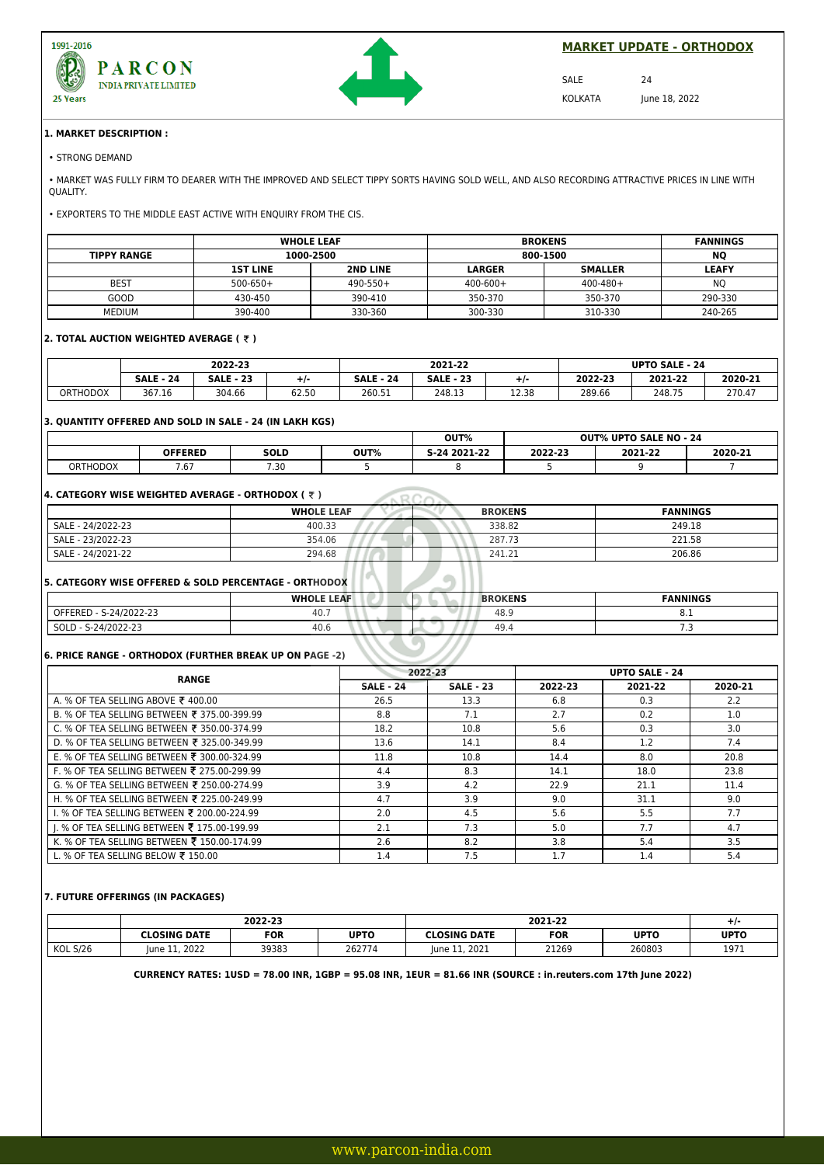



**MARKET UPDATE - ORTHODOX**

SALE 24

KOLKATA June 18, 2022

#### **1. MARKET DESCRIPTION :**

• MARKET WAS FULLY FIRM TO DEARER WITH THE IMPROVED AND SELECT TIPPY SORTS HAVING SOLD WELL, AND ALSO RECORDING ATTRACTIVE PRICES IN LINE WITH QUALITY.

• EXPORTERS TO THE MIDDLE EAST ACTIVE WITH ENQUIRY FROM THE CIS.

|                    |                 | <b>WHOLE LEAF</b> | <b>BROKENS</b> | <b>FANNINGS</b> |                |
|--------------------|-----------------|-------------------|----------------|-----------------|----------------|
| <b>TIPPY RANGE</b> | 1000-2500       |                   | 800-1500       | <b>NO</b>       |                |
|                    | <b>1ST LINE</b> | <b>2ND LINE</b>   | <b>LARGER</b>  | <b>SMALLER</b>  | <b>LEAFY</b>   |
| <b>BEST</b>        | $500 - 650 +$   | $490 - 550 +$     | $400 - 600 +$  | $400 - 480 +$   | N <sub>O</sub> |
| GOOD               | 430-450         | 390-410           | 350-370        | 350-370         | 290-330        |
| <b>MEDIUM</b>      | 390-400         | 330-360           | 300-330        | 310-330         | 240-265        |

## **2. TOTAL AUCTION WEIGHTED AVERAGE ( ₹ )**

|                 | 2022-23      |                       |       | 2021-22              |                     |       | <b>UPTO SALE</b><br>$-24$ |         |         |
|-----------------|--------------|-----------------------|-------|----------------------|---------------------|-------|---------------------------|---------|---------|
|                 | 24<br>SALE - | : - 23<br><b>SALE</b> | ٠.    | <b>SALE</b><br>$-24$ | - 23<br><b>SALE</b> | ÷ / - | 2022-23                   | 2021-22 | 2020-21 |
| <b>ORTHODOX</b> | 367.16       | 304.66                | 62.50 | 260.51               | 248.13              | 12.38 | 289.66                    | 248.75  | 270.47  |

## **3. QUANTITY OFFERED AND SOLD IN SALE - 24 (IN LAKH KGS)**

|                 |                |               | OUT% |                 | <b>OUT% UPTO SALE NO - 24</b> |         |         |
|-----------------|----------------|---------------|------|-----------------|-------------------------------|---------|---------|
|                 | <b>OFFERED</b> | <b>SOLD</b>   | OUT% | 2021-22<br>5-24 | 2022-23                       | 2021-22 | 2020-21 |
| <b>ORTHODOX</b> | 7.67           | 7.20<br>ט כ., |      |                 |                               |         |         |

## **4. CATEGORY WISE WEIGHTED AVERAGE - ORTHODOX (**  $\bar{\tau}$  **)**

| 4. CATEGORY WISE WEIGHTED AVERAGE - ORTHODOX ( ₹ ) |                   |                |                 |  |  |  |  |
|----------------------------------------------------|-------------------|----------------|-----------------|--|--|--|--|
|                                                    | <b>WHOLE LEAF</b> | <b>BROKENS</b> | <b>FANNINGS</b> |  |  |  |  |
| SALE - 24/2022-23                                  | 400.33            | 338.82         | 249.18          |  |  |  |  |
| SALE - 23/2022-23                                  | 354.06            | 287.73         | 221.58          |  |  |  |  |
| SALE - 24/2021-22                                  | 294.68            | 241.21         | 206.86          |  |  |  |  |

## **5. CATEGORY WISE OFFERED & SOLD PERCENTAGE - ORTHODOX**

|                        | <b>WHOLE LEAF</b> | <b>BROKENS</b> | <b>FANNINGS</b> |
|------------------------|-------------------|----------------|-----------------|
| OFFERED - S-24/2022-23 | 40.               | 48.9           | ◡.⊥             |
| SOLD - S-24/2022-23    | 40.6              | 49.4           |                 |
|                        |                   |                |                 |

\\\\\*\\|* 

## **6. PRICE RANGE - ORTHODOX (FURTHER BREAK UP ON PAGE -2)**

| <b>RANGE</b>                                | 2022-23          |                  | <b>UPTO SALE - 24</b> |         |         |
|---------------------------------------------|------------------|------------------|-----------------------|---------|---------|
|                                             | <b>SALE - 24</b> | <b>SALE - 23</b> | 2022-23               | 2021-22 | 2020-21 |
| A. % OF TEA SELLING ABOVE ₹ 400.00          | 26.5             | 13.3             | 6.8                   | 0.3     | 2.2     |
| B. % OF TEA SELLING BETWEEN ₹ 375.00-399.99 | 8.8              | 7.1              | 2.7                   | 0.2     | 1.0     |
| C. % OF TEA SELLING BETWEEN ₹ 350.00-374.99 | 18.2             | 10.8             | 5.6                   | 0.3     | 3.0     |
| D. % OF TEA SELLING BETWEEN ₹ 325.00-349.99 | 13.6             | 14.1             | 8.4                   | 1.2     | 7.4     |
| E. % OF TEA SELLING BETWEEN ₹ 300.00-324.99 | 11.8             | 10.8             | 14.4                  | 8.0     | 20.8    |
| F. % OF TEA SELLING BETWEEN ₹ 275.00-299.99 | 4.4              | 8.3              | 14.1                  | 18.0    | 23.8    |
| G. % OF TEA SELLING BETWEEN ₹ 250.00-274.99 | 3.9              | 4.2              | 22.9                  | 21.1    | 11.4    |
| H. % OF TEA SELLING BETWEEN ₹ 225.00-249.99 | 4.7              | 3.9              | 9.0                   | 31.1    | 9.0     |
| 1. % OF TEA SELLING BETWEEN ₹ 200.00-224.99 | 2.0              | 4.5              | 5.6                   | 5.5     | 7.7     |
| I. % OF TEA SELLING BETWEEN ₹ 175.00-199.99 | 2.1              | 7.3              | 5.0                   | 7.7     | 4.7     |
| K. % OF TEA SELLING BETWEEN ₹ 150.00-174.99 | 2.6              | 8.2              | 3.8                   | 5.4     | 3.5     |
| L. % OF TEA SELLING BELOW ₹ 150.00          | 1.4              | 7.5              | 1.7                   | 1.4     | 5.4     |

#### **7. FUTURE OFFERINGS (IN PACKAGES)**

|                 | 2022-23         |       |             | 2021-22          |            |             | $+$ $\prime$ . |
|-----------------|-----------------|-------|-------------|------------------|------------|-------------|----------------|
|                 | CLOSING DATE:   | FOR   | <b>UPTO</b> | CLOSING DATE     | <b>FOR</b> | <b>UPTO</b> | <b>UPTO</b>    |
| <b>KOL S/26</b> | 11.2022<br>lune | 39383 | 262774      | 11, 2021<br>lune | 21269      | 260803      | 1971           |

**CURRENCY RATES: 1USD = 78.00 INR, 1GBP = 95.08 INR, 1EUR = 81.66 INR (SOURCE : in.reuters.com 17th June 2022)**

<sup>•</sup> STRONG DEMAND